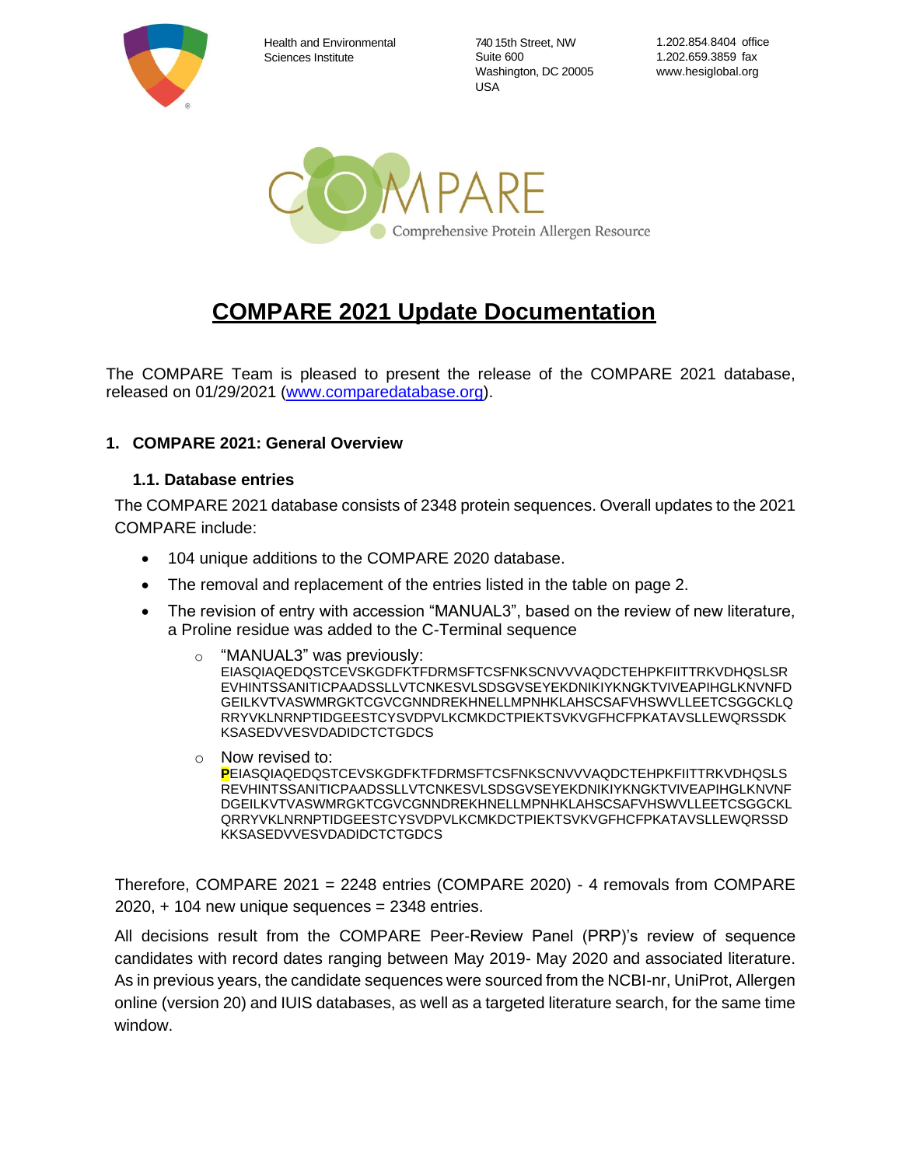

Health and Environmental Sciences Institute

740 15th Street, NW Suite 600 Washington, DC 20005 USA

1.202.854.8404 office 1.202.659.3859 fax www.hesiglobal.org



# **COMPARE 2021 Update Documentation**

The COMPARE Team is pleased to present the release of the COMPARE 2021 database, released on 01/29/2021 [\(www.comparedatabase.org\)](http://www.comparedatabase.org/).

### **1. COMPARE 2021: General Overview**

#### **1.1. Database entries**

The COMPARE 2021 database consists of 2348 protein sequences. Overall updates to the 2021 COMPARE include:

- 104 unique additions to the COMPARE 2020 database.
- The removal and replacement of the entries listed in the table on page 2.
- The revision of entry with accession "MANUAL3", based on the review of new literature, a Proline residue was added to the C-Terminal sequence
	- "MANUAL3" was previously: EIASQIAQEDQSTCEVSKGDFKTFDRMSFTCSFNKSCNVVVAQDCTEHPKFIITTRKVDHQSLSR EVHINTSSANITICPAADSSLLVTCNKESVLSDSGVSEYEKDNIKIYKNGKTVIVEAPIHGLKNVNFD GEILKVTVASWMRGKTCGVCGNNDREKHNELLMPNHKLAHSCSAFVHSWVLLEETCSGGCKLQ RRYVKLNRNPTIDGEESTCYSVDPVLKCMKDCTPIEKTSVKVGFHCFPKATAVSLLEWQRSSDK KSASEDVVESVDADIDCTCTGDCS
	- o Now revised to: **P**EIASQIAQEDQSTCEVSKGDFKTFDRMSFTCSFNKSCNVVVAQDCTEHPKFIITTRKVDHQSLS REVHINTSSANITICPAADSSLLVTCNKESVLSDSGVSEYEKDNIKIYKNGKTVIVEAPIHGLKNVNF DGEILKVTVASWMRGKTCGVCGNNDREKHNELLMPNHKLAHSCSAFVHSWVLLEETCSGGCKL QRRYVKLNRNPTIDGEESTCYSVDPVLKCMKDCTPIEKTSVKVGFHCFPKATAVSLLEWQRSSD KKSASEDVVESVDADIDCTCTGDCS

Therefore, COMPARE 2021 = 2248 entries (COMPARE 2020) - 4 removals from COMPARE  $2020$ ,  $+ 104$  new unique sequences = 2348 entries.

All decisions result from the COMPARE Peer-Review Panel (PRP)'s review of sequence candidates with record dates ranging between May 2019- May 2020 and associated literature. As in previous years, the candidate sequences were sourced from the NCBI-nr, UniProt, Allergen online (version 20) and IUIS databases, as well as a targeted literature search, for the same time window.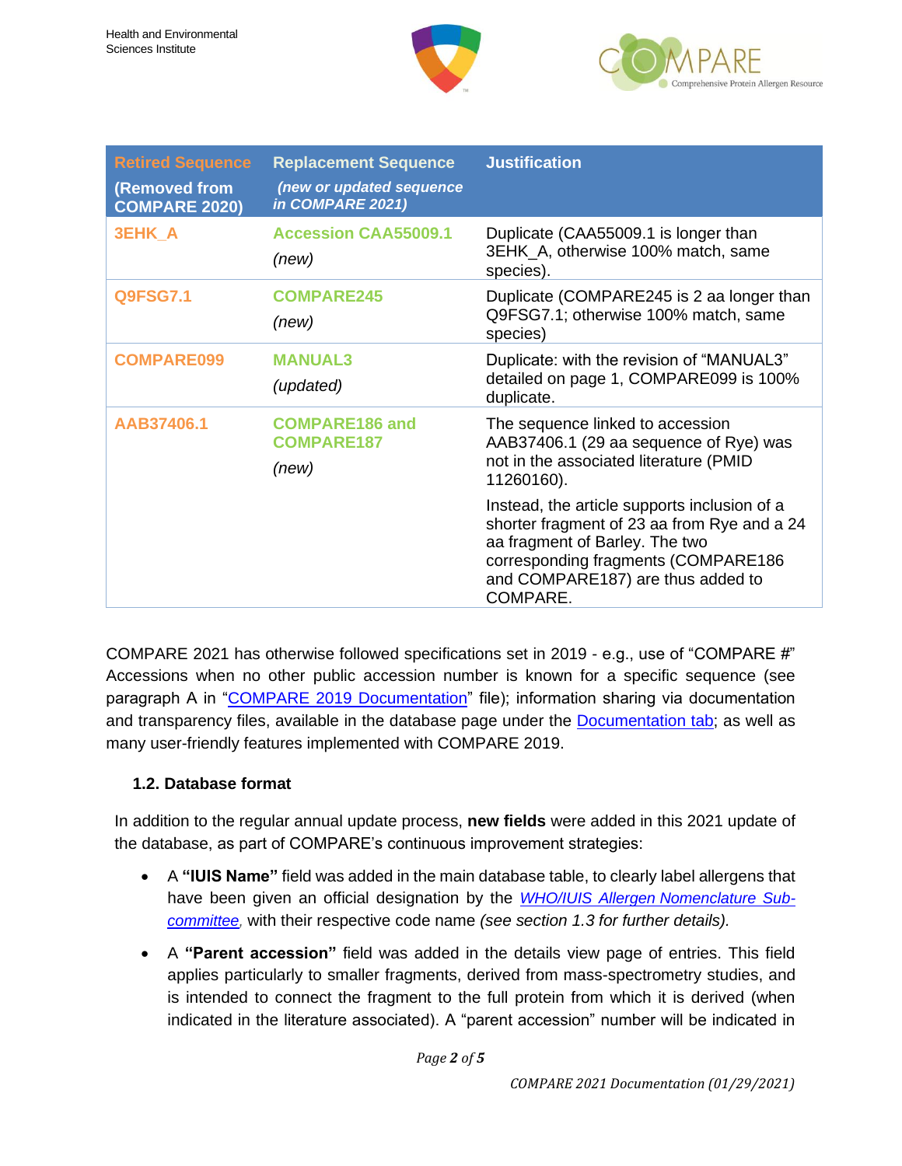



| <b>Retired Sequence</b><br>(Removed from<br><b>COMPARE 2020)</b> | <b>Replacement Sequence</b><br>(new or updated sequence<br>in COMPARE 2021) | <b>Justification</b>                                                                                                                                                                                                  |
|------------------------------------------------------------------|-----------------------------------------------------------------------------|-----------------------------------------------------------------------------------------------------------------------------------------------------------------------------------------------------------------------|
| <b>3EHK A</b>                                                    | <b>Accession CAA55009.1</b><br>(new)                                        | Duplicate (CAA55009.1 is longer than<br>3EHK_A, otherwise 100% match, same<br>species).                                                                                                                               |
| <b>Q9FSG7.1</b>                                                  | <b>COMPARE245</b><br>(new)                                                  | Duplicate (COMPARE245 is 2 aa longer than<br>Q9FSG7.1; otherwise 100% match, same<br>species)                                                                                                                         |
| <b>COMPARE099</b>                                                | <b>MANUAL3</b><br>(updated)                                                 | Duplicate: with the revision of "MANUAL3"<br>detailed on page 1, COMPARE099 is 100%<br>duplicate.                                                                                                                     |
| AAB37406.1                                                       | <b>COMPARE186 and</b><br><b>COMPARE187</b><br>(new)                         | The sequence linked to accession<br>AAB37406.1 (29 aa sequence of Rye) was<br>not in the associated literature (PMID<br>11260160).                                                                                    |
|                                                                  |                                                                             | Instead, the article supports inclusion of a<br>shorter fragment of 23 aa from Rye and a 24<br>aa fragment of Barley. The two<br>corresponding fragments (COMPARE186<br>and COMPARE187) are thus added to<br>COMPARE. |

COMPARE 2021 has otherwise followed specifications set in 2019 - e.g., use of "COMPARE #" Accessions when no other public accession number is known for a specific sequence (see paragraph A in ["COMPARE 2019 Documentation"](http://db.comparedatabase.org/docs/COMPARE-2019-Documentation-2019-01-17.pdf?v=20190117) file); information sharing via documentation and transparency files, available in the database page under the **Documentation tab**; as well as many user-friendly features implemented with COMPARE 2019.

## **1.2. Database format**

In addition to the regular annual update process, **new fields** were added in this 2021 update of the database, as part of COMPARE's continuous improvement strategies:

- A **"IUIS Name"** field was added in the main database table, to clearly label allergens that have been given an official designation by the *WHO/IUIS Allergen [Nomenclature Sub](http://www.allergen.org/)[committee,](http://www.allergen.org/)* with their respective code name *(see section 1.3 for further details).*
- A **"Parent accession"** field was added in the details view page of entries. This field applies particularly to smaller fragments, derived from mass-spectrometry studies, and is intended to connect the fragment to the full protein from which it is derived (when indicated in the literature associated). A "parent accession" number will be indicated in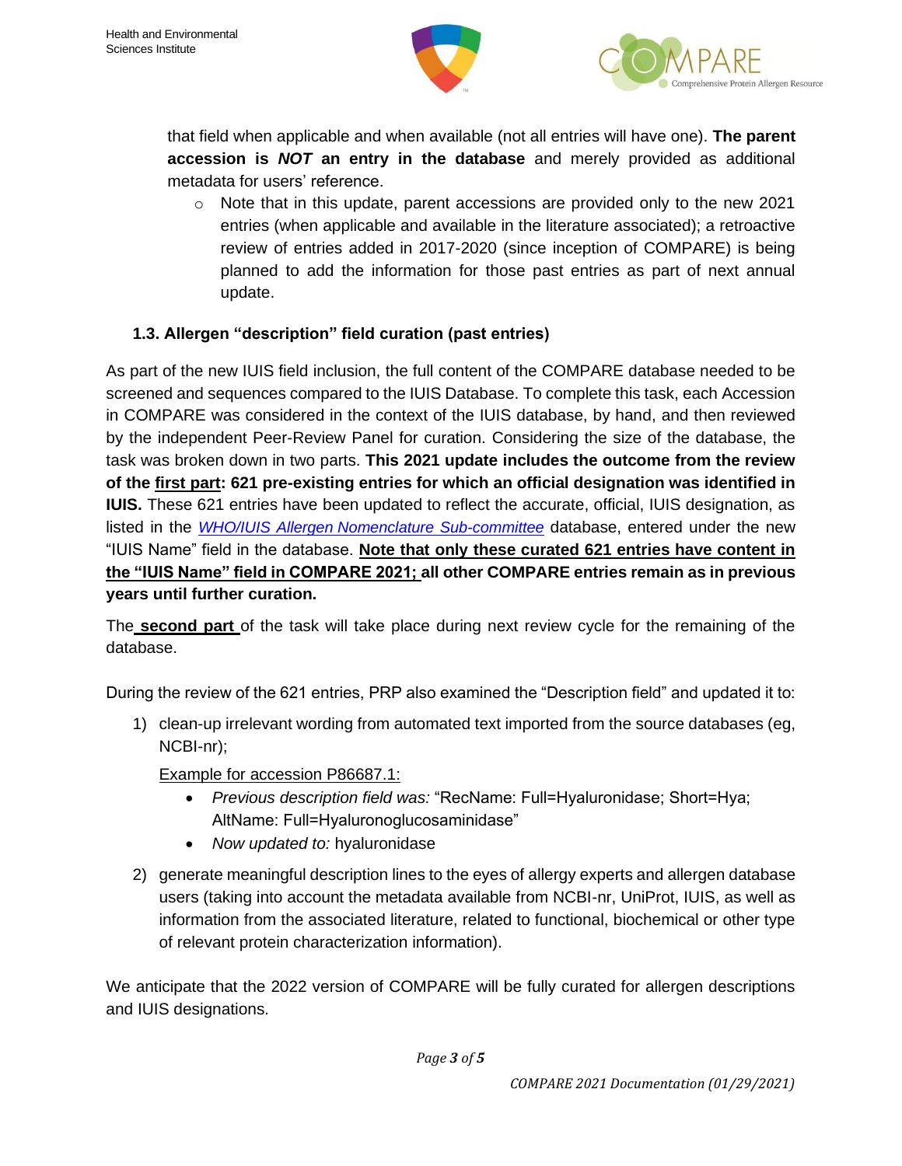



that field when applicable and when available (not all entries will have one). **The parent accession is** *NOT* **an entry in the database** and merely provided as additional metadata for users' reference.

 $\circ$  Note that in this update, parent accessions are provided only to the new 2021 entries (when applicable and available in the literature associated); a retroactive review of entries added in 2017-2020 (since inception of COMPARE) is being planned to add the information for those past entries as part of next annual update.

# **1.3. Allergen "description" field curation (past entries)**

As part of the new IUIS field inclusion, the full content of the COMPARE database needed to be screened and sequences compared to the IUIS Database. To complete this task, each Accession in COMPARE was considered in the context of the IUIS database, by hand, and then reviewed by the independent Peer-Review Panel for curation. Considering the size of the database, the task was broken down in two parts. **This 2021 update includes the outcome from the review of the first part: 621 pre-existing entries for which an official designation was identified in IUIS.** These 621 entries have been updated to reflect the accurate, official, IUIS designation, as listed in the *WHO/IUIS Allergen [Nomenclature Sub-committee](http://www.allergen.org/)* database, entered under the new "IUIS Name" field in the database. **Note that only these curated 621 entries have content in the "IUIS Name" field in COMPARE 2021; all other COMPARE entries remain as in previous years until further curation.** 

The **second part** of the task will take place during next review cycle for the remaining of the database.

During the review of the 621 entries, PRP also examined the "Description field" and updated it to:

1) clean-up irrelevant wording from automated text imported from the source databases (eg, NCBI-nr);

Example for accession P86687.1:

- *Previous description field was:* "RecName: Full=Hyaluronidase; Short=Hya; AltName: Full=Hyaluronoglucosaminidase"
- *Now updated to:* hyaluronidase
- 2) generate meaningful description lines to the eyes of allergy experts and allergen database users (taking into account the metadata available from NCBI-nr, UniProt, IUIS, as well as information from the associated literature, related to functional, biochemical or other type of relevant protein characterization information).

We anticipate that the 2022 version of COMPARE will be fully curated for allergen descriptions and IUIS designations.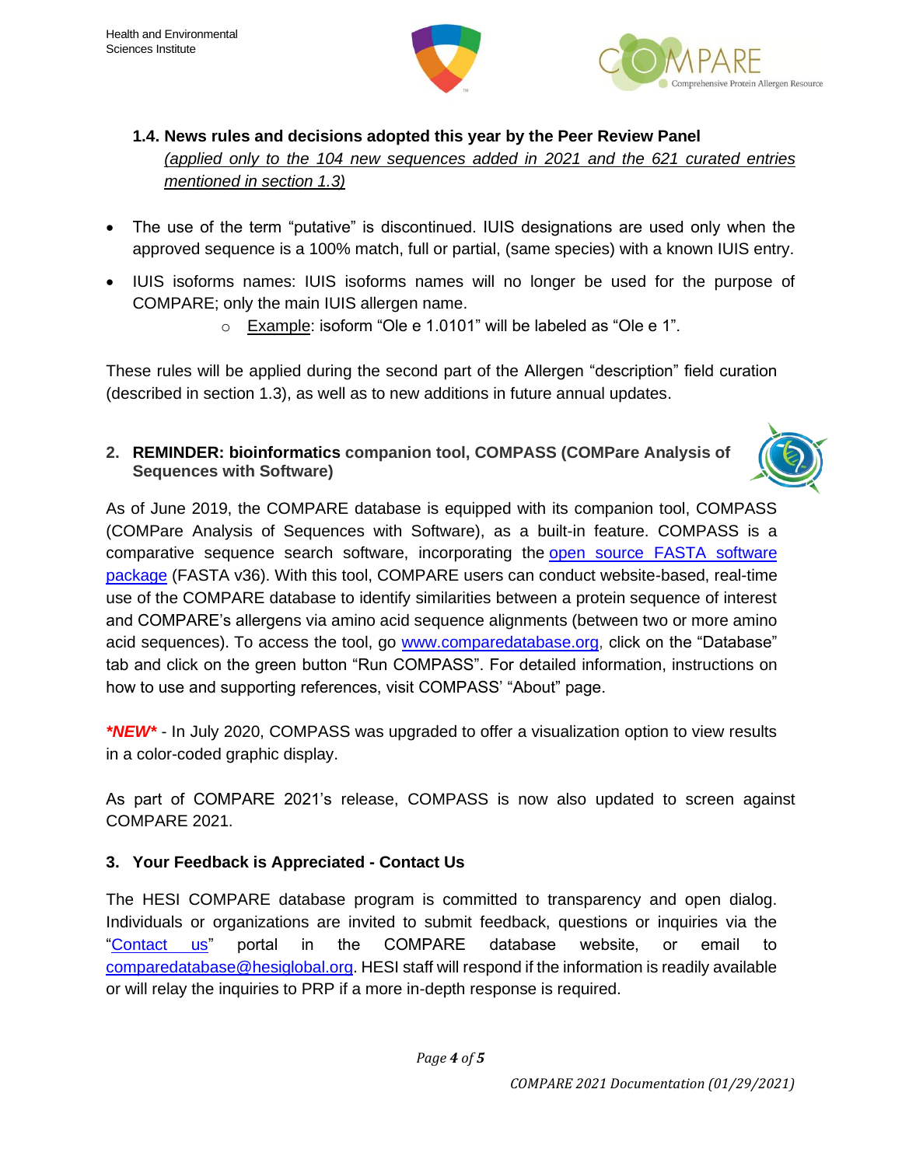



- **1.4. News rules and decisions adopted this year by the Peer Review Panel** *(applied only to the 104 new sequences added in 2021 and the 621 curated entries mentioned in section 1.3)*
- The use of the term "putative" is discontinued. IUIS designations are used only when the approved sequence is a 100% match, full or partial, (same species) with a known IUIS entry.
- IUIS isoforms names: IUIS isoforms names will no longer be used for the purpose of COMPARE; only the main IUIS allergen name.
	- o Example: isoform "Ole e 1.0101" will be labeled as "Ole e 1".

These rules will be applied during the second part of the Allergen "description" field curation (described in section 1.3), as well as to new additions in future annual updates.

**2. REMINDER: bioinformatics companion tool, COMPASS (COMPare Analysis of Sequences with Software)** 



As of June 2019, the COMPARE database is equipped with its companion tool, COMPASS (COMPare Analysis of Sequences with Software), as a built-in feature. COMPASS is a comparative sequence search software, incorporating the open source FASTA [software](https://fasta.bioch.virginia.edu/fasta_www2/fasta_intro.shtml) [package](https://fasta.bioch.virginia.edu/fasta_www2/fasta_intro.shtml) (FASTA v36). With this tool, COMPARE users can conduct website-based, real-time use of the COMPARE database to identify similarities between a protein sequence of interest and COMPARE's allergens via amino acid sequence alignments (between two or more amino acid sequences). To access the tool, go [www.comparedatabase.org,](http://www.comparedatabase.org/) click on the "Database" tab and click on the green button "Run COMPASS". For detailed information, instructions on how to use and supporting references, visit COMPASS' "About" page.

*\*NEW\** - In July 2020, COMPASS was upgraded to offer a visualization option to view results in a color-coded graphic display.

As part of COMPARE 2021's release, COMPASS is now also updated to screen against COMPARE 2021.

## **3. Your Feedback is Appreciated - Contact Us**

The HESI COMPARE database program is committed to transparency and open dialog. Individuals or organizations are invited to submit feedback, questions or inquiries via the ["Contact us"](https://comparedatabase.org/contact-us/) portal in the COMPARE database website, or email to [comparedatabase@hesiglobal.org.](mailto:comparedatabase@hesiglobal.org) HESI staff will respond if the information is readily available or will relay the inquiries to PRP if a more in-depth response is required.